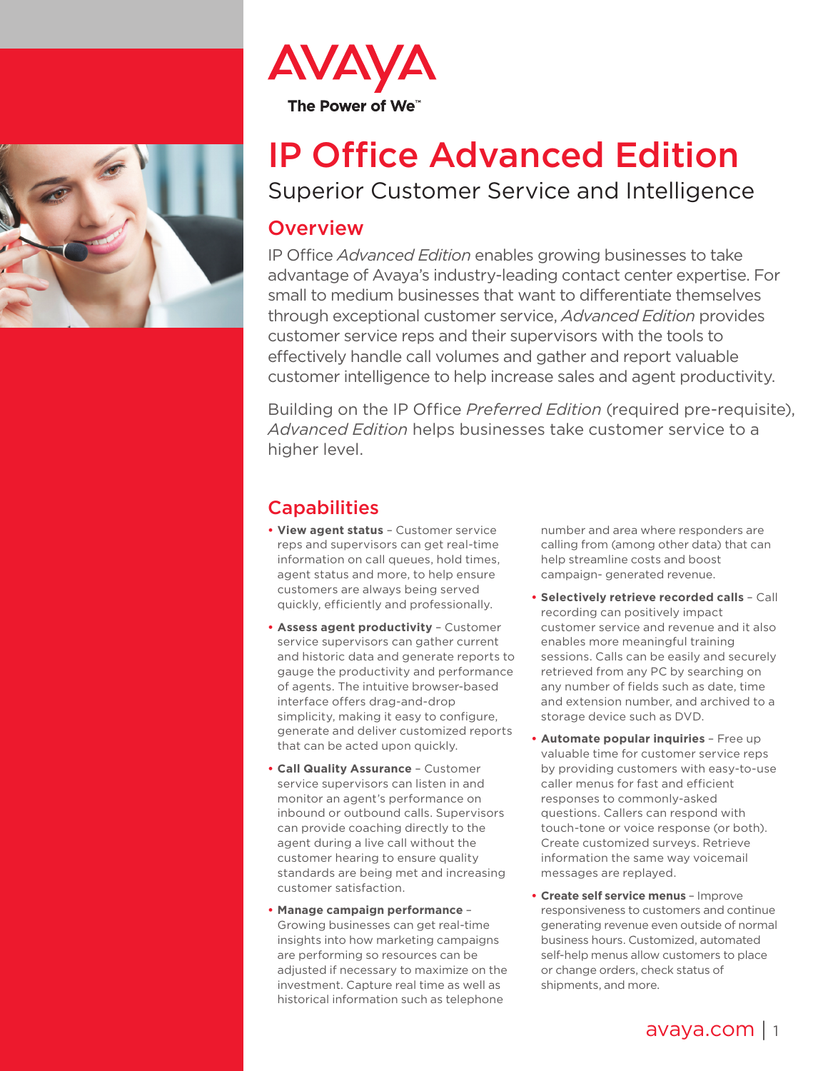



# IP Office Advanced Edition

Superior Customer Service and Intelligence

#### **Overview**

IP Office *Advanced Edition* enables growing businesses to take advantage of Avaya's industry-leading contact center expertise. For small to medium businesses that want to differentiate themselves through exceptional customer service, *Advanced Edition* provides customer service reps and their supervisors with the tools to effectively handle call volumes and gather and report valuable customer intelligence to help increase sales and agent productivity.

Building on the IP Office *Preferred Edition* (required pre-requisite), *Advanced Edition* helps businesses take customer service to a higher level.

## **Capabilities**

- **• View agent status** Customer service reps and supervisors can get real-time information on call queues, hold times, agent status and more, to help ensure customers are always being served quickly, efficiently and professionally.
- **• Assess agent productivity** Customer service supervisors can gather current and historic data and generate reports to gauge the productivity and performance of agents. The intuitive browser-based interface offers drag-and-drop simplicity, making it easy to configure, generate and deliver customized reports that can be acted upon quickly.
- **• Call Quality Assurance** Customer service supervisors can listen in and monitor an agent's performance on inbound or outbound calls. Supervisors can provide coaching directly to the agent during a live call without the customer hearing to ensure quality standards are being met and increasing customer satisfaction.
- **• Manage campaign performance** Growing businesses can get real-time insights into how marketing campaigns are performing so resources can be adjusted if necessary to maximize on the investment. Capture real time as well as historical information such as telephone

number and area where responders are calling from (among other data) that can help streamline costs and boost campaign- generated revenue.

- **• Selectively retrieve recorded calls** Call recording can positively impact customer service and revenue and it also enables more meaningful training sessions. Calls can be easily and securely retrieved from any PC by searching on any number of fields such as date, time and extension number, and archived to a storage device such as DVD.
- **• Automate popular inquiries** Free up valuable time for customer service reps by providing customers with easy-to-use caller menus for fast and efficient responses to commonly-asked questions. Callers can respond with touch-tone or voice response (or both). Create customized surveys. Retrieve information the same way voicemail messages are replayed.
- **• Create self service menus** Improve responsiveness to customers and continue generating revenue even outside of normal business hours. Customized, automated self-help menus allow customers to place or change orders, check status of shipments, and more.